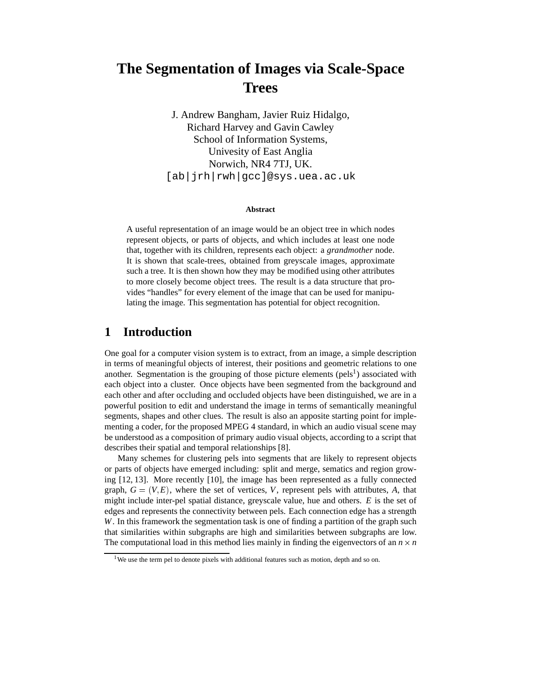# **The Segmentation of Images via Scale-Space Trees**

J. Andrew Bangham, Javier Ruiz Hidalgo, Richard Harvey and Gavin Cawley School of Information Systems, Univesity of East Anglia Norwich, NR4 7TJ, UK. [ab|jrh|rwh|gcc]@sys.uea.ac.uk

#### **Abstract**

A useful representation of an image would be an object tree in which nodes represent objects, or parts of objects, and which includes at least one node that, together with its children, represents each object: a *grandmother* node. It is shown that scale-trees, obtained from greyscale images, approximate such a tree. It is then shown how they may be modified using other attributes to more closely become object trees. The result is a data structure that provides "handles" for every element of the image that can be used for manipulating the image. This segmentation has potential for object recognition.

# **1 Introduction**

One goal for a computer vision system is to extract, from an image, a simple description in terms of meaningful objects of interest, their positions and geometric relations to one another. Segmentation is the grouping of those picture elements (pels<sup>1</sup>) associated with each object into a cluster. Once objects have been segmented from the background and each other and after occluding and occluded objects have been distinguished, we are in a powerful position to edit and understand the image in terms of semantically meaningful segments, shapes and other clues. The result is also an apposite starting point for implementing a coder, for the proposed MPEG 4 standard, in which an audio visual scene may be understood as a composition of primary audio visual objects, according to a script that describes their spatial and temporal relationships [8].

Many schemes for clustering pels into segments that are likely to represent objects or parts of objects have emerged including: split and merge, sematics and region growing [12, 13]. More recently [10], the image has been represented as a fully connected graph,  $G = (V, E)$ , where the set of vertices, V, represent pels with attributes, A, that might include inter-pel spatial distance, greyscale value, hue and others. *E* is the set of edges and represents the connectivity between pels. Each connection edge has a strength *W*. In this framework the segmentation task is one of finding a partition of the graph such that similarities within subgraphs are high and similarities between subgraphs are low. The computational load in this method lies mainly in finding the eigenvectors of an  $n \times n$ *n*

<sup>&</sup>lt;sup>1</sup>We use the term pel to denote pixels with additional features such as motion, depth and so on.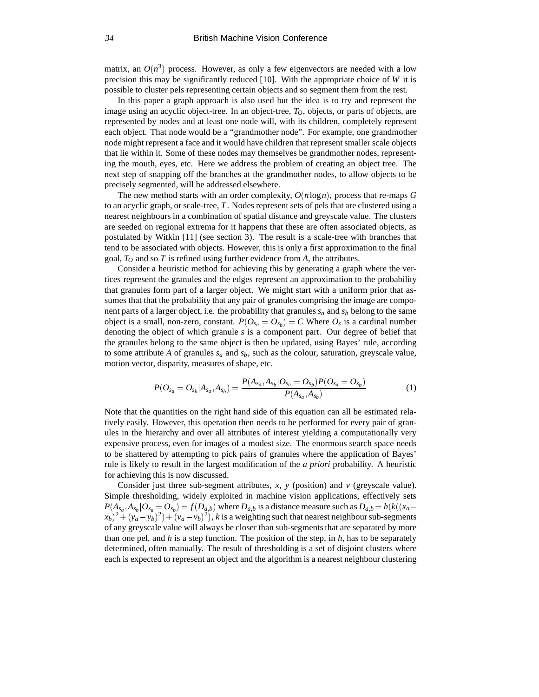matrix, an  $O(n^3)$  process. However, as only a few eigenvectors are needed with a low precision this may be significantly reduced [10]. With the appropriate choice of *W* it is possible to cluster pels representing certain objects and so segment them from the rest.

In this paper a graph approach is also used but the idea is to try and represent the image using an acyclic object-tree. In an object-tree,  $T<sub>O</sub>$ , objects, or parts of objects, are represented by nodes and at least one node will, with its children, completely represent each object. That node would be a "grandmother node". For example, one grandmother node might represent a face and it would have children that represent smaller scale objects that lie within it. Some of these nodes may themselves be grandmother nodes, representing the mouth, eyes, etc. Here we address the problem of creating an object tree. The next step of snapping off the branches at the grandmother nodes, to allow objects to be precisely segmented, will be addressed elsewhere.

The new method starts with an order complexity, *O*(*n*log*n*), process that re-maps *G* to an acyclic graph, or scale-tree, *T*. Nodes represent sets of pels that are clustered using a nearest neighbours in a combination of spatial distance and greyscale value. The clusters are seeded on regional extrema for it happens that these are often associated objects, as postulated by Witkin [11] (see section 3). The result is a scale-tree with branches that tend to be associated with objects. However, this is only a first approximation to the final goal, *TO* and so *T* is refined using further evidence from *A*, the attributes.

Consider a heuristic method for achieving this by generating a graph where the vertices represent the granules and the edges represent an approximation to the probability that granules form part of a larger object. We might start with a uniform prior that assumes that that the probability that any pair of granules comprising the image are component parts of a larger object, i.e. the probability that granules  $s_a$  and  $s_b$  belong to the same object is a small, non-zero, constant.  $P(O_{s_a} = O_{s_b}) = C$  Where  $O_s$  is a cardinal number denoting the object of which granule *s* is a component part. Our degree of belief that the granules belong to the same object is then be updated, using Bayes' rule, according to some attribute  $A$  of granules  $s_a$  and  $s_b$ , such as the colour, saturation, greyscale value, motion vector, disparity, measures of shape, etc.

$$
P(O_{s_a} = O_{s_b}|A_{s_a}, A_{s_b}) = \frac{P(A_{s_a}, A_{s_b}|O_{s_a} = O_{s_b})P(O_{s_a} = O_{s_b})}{P(A_{s_a}, A_{s_b})}
$$
(1)

Note that the quantities on the right hand side of this equation can all be estimated relatively easily. However, this operation then needs to be performed for every pair of granules in the hierarchy and over all attributes of interest yielding a computationally very expensive process, even for images of a modest size. The enormous search space needs to be shattered by attempting to pick pairs of granules where the application of Bayes' rule is likely to result in the largest modification of the *a priori* probability. A heuristic for achieving this is now discussed.

Consider just three sub-segment attributes,  $x$ ,  $y$  (position) and  $v$  (greyscale value). Simple thresholding, widely exploited in machine vision applications, effectively sets  $P(A_{s_a}, A_{s_b} | O_{s_a} = O_{s_b}) = f(D_{a,b})$  where  $D_{a,b}$  is a distance measure such as  $D_{a,b} = h(k((x_a - b_{s_a}))$  $(x_b)^2 + (y_a - y_b)^2 + (y_a - v_b)^2$ , *k* is a weighting such that nearest neighbour sub-segments of any greyscale value will always be closer than sub-segments that are separated by more than one pel, and *h* is a step function. The position of the step, in *h*, has to be separately determined, often manually. The result of thresholding is a set of disjoint clusters where each is expected to represent an object and the algorithm is a nearest neighbour clustering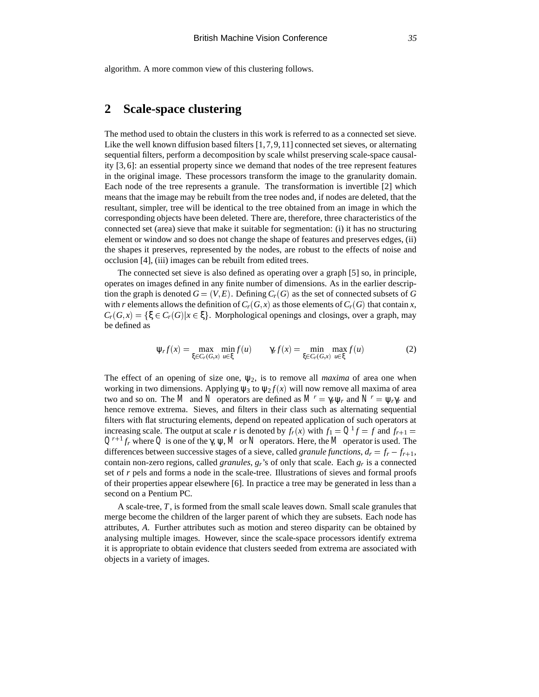algorithm. A more common view of this clustering follows.

# **2 Scale-space clustering**

The method used to obtain the clusters in this work is referred to as a connected set sieve. Like the well known diffusion based filters [1,7,9,11] connected set sieves, or alternating sequential filters, perform a decomposition by scale whilst preserving scale-space causality [3, 6]: an essential property since we demand that nodes of the tree represent features in the original image. These processors transform the image to the granularity domain. Each node of the tree represents a granule. The transformation is invertible [2] which means that the image may be rebuilt from the tree nodes and, if nodes are deleted, that the resultant, simpler, tree will be identical to the tree obtained from an image in which the corresponding objects have been deleted. There are, therefore, three characteristics of the connected set (area) sieve that make it suitable for segmentation: (i) it has no structuring element or window and so does not change the shape of features and preserves edges, (ii) the shapes it preserves, represented by the nodes, are robust to the effects of noise and occlusion [4], (iii) images can be rebuilt from edited trees.

The connected set sieve is also defined as operating over a graph [5] so, in principle, operates on images defined in any finite number of dimensions. As in the earlier description the graph is denoted  $G = (V, E)$ . Defining  $C_r(G)$  as the set of connected subsets of G with *r* elements allows the definition of  $C_r(G, x)$  as those elements of  $C_r(G)$  that contain *x*,  $C_r(G,x) = \{\xi \in C_r(G) | x \in \xi\}$ . Morphological openings and closings, over a graph, may be defined as

$$
\psi_r f(x) = \max_{\xi \in C_r(G, x)} \min_{u \in \xi} f(u) \qquad \gamma_r f(x) = \min_{\xi \in C_r(G, x)} \max_{u \in \xi} f(u) \tag{2}
$$

The effect of an opening of size one,  $\psi_2$ , is to remove all *maxima* of area one when working in two dimensions. Applying  $\psi_3$  to  $\psi_2 f(x)$  will now remove all maxima of area two and so on. The M and N operators are defined as  $M^r = \gamma_r \psi_r$  and  $N^r = \psi_r \gamma_r$  and hence remove extrema. Sieves, and filters in their class such as alternating sequential filters with flat structuring elements, depend on repeated application of such operators at increasing scale. The output at scale *r* is denoted by  $f_r(x)$  with  $f_1 = Q^1 f = f$  and  $f_{r+1} = f$  $Q^{r+1}$  *f<sub>r</sub>* where *Q* is one of the γ,  $\psi$ , *M* or *N* operators. Here, the *M* operator is used. The differences between successive stages of a sieve, called *granule functions*,  $d_r = f_r - f_{r+1}$ , contain non-zero regions, called *granules*, *gr*'s of only that scale. Each *gr* is a connected set of *r* pels and forms a node in the scale-tree. Illustrations of sieves and formal proofs of their properties appear elsewhere [6]. In practice a tree may be generated in less than a second on a Pentium PC.

A scale-tree, *T*, is formed from the small scale leaves down. Small scale granules that merge become the children of the larger parent of which they are subsets. Each node has attributes, *A*. Further attributes such as motion and stereo disparity can be obtained by analysing multiple images. However, since the scale-space processors identify extrema it is appropriate to obtain evidence that clusters seeded from extrema are associated with objects in a variety of images.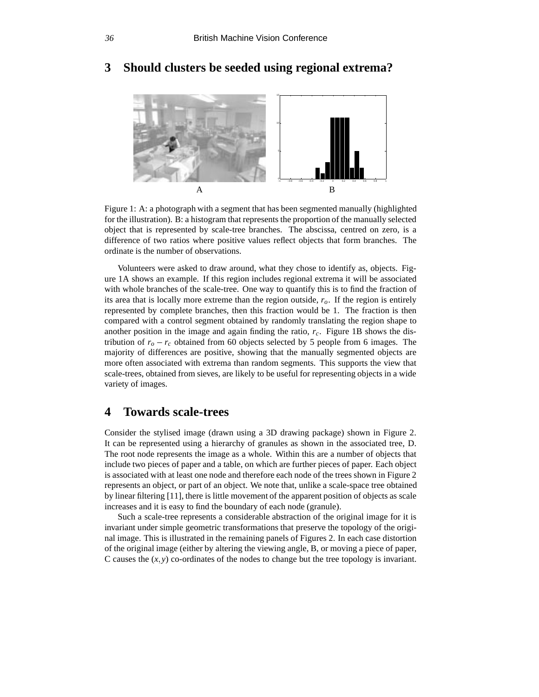

# **3 Should clusters be seeded using regional extrema?**

Figure 1: A: a photograph with a segment that has been segmented manually (highlighted for the illustration). B: a histogram that represents the proportion of the manually selected object that is represented by scale-tree branches. The abscissa, centred on zero, is a difference of two ratios where positive values reflect objects that form branches. The ordinate is the number of observations.

Volunteers were asked to draw around, what they chose to identify as, objects. Figure 1A shows an example. If this region includes regional extrema it will be associated with whole branches of the scale-tree. One way to quantify this is to find the fraction of its area that is locally more extreme than the region outside, *ro*. If the region is entirely represented by complete branches, then this fraction would be 1. The fraction is then compared with a control segment obtained by randomly translating the region shape to another position in the image and again finding the ratio,  $r_c$ . Figure 1B shows the distribution of  $r_o - r_c$  obtained from 60 objects selected by 5 people from 6 images. The majority of differences are positive, showing that the manually segmented objects are more often associated with extrema than random segments. This supports the view that scale-trees, obtained from sieves, are likely to be useful for representing objects in a wide variety of images.

# **4 Towards scale-trees**

Consider the stylised image (drawn using a 3D drawing package) shown in Figure 2. It can be represented using a hierarchy of granules as shown in the associated tree, D. The root node represents the image as a whole. Within this are a number of objects that include two pieces of paper and a table, on which are further pieces of paper. Each object is associated with at least one node and therefore each node of the trees shown in Figure 2 represents an object, or part of an object. We note that, unlike a scale-space tree obtained by linear filtering [11], there is little movement of the apparent position of objects as scale increases and it is easy to find the boundary of each node (granule).

Such a scale-tree represents a considerable abstraction of the original image for it is invariant under simple geometric transformations that preserve the topology of the original image. This is illustrated in the remaining panels of Figures 2. In each case distortion of the original image (either by altering the viewing angle, B, or moving a piece of paper, C causes the  $(x, y)$  co-ordinates of the nodes to change but the tree topology is invariant.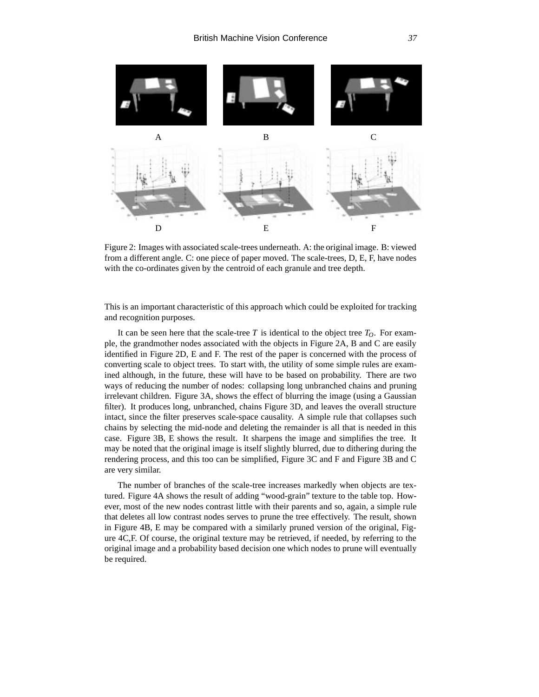

Figure 2: Images with associated scale-trees underneath. A: the original image. B: viewed from a different angle. C: one piece of paper moved. The scale-trees, D, E, F, have nodes with the co-ordinates given by the centroid of each granule and tree depth.

This is an important characteristic of this approach which could be exploited for tracking and recognition purposes.

It can be seen here that the scale-tree  $T$  is identical to the object tree  $T<sub>O</sub>$ . For example, the grandmother nodes associated with the objects in Figure 2A, B and C are easily identified in Figure 2D, E and F. The rest of the paper is concerned with the process of converting scale to object trees. To start with, the utility of some simple rules are examined although, in the future, these will have to be based on probability. There are two ways of reducing the number of nodes: collapsing long unbranched chains and pruning irrelevant children. Figure 3A, shows the effect of blurring the image (using a Gaussian filter). It produces long, unbranched, chains Figure 3D, and leaves the overall structure intact, since the filter preserves scale-space causality. A simple rule that collapses such chains by selecting the mid-node and deleting the remainder is all that is needed in this case. Figure 3B, E shows the result. It sharpens the image and simplifies the tree. It may be noted that the original image is itself slightly blurred, due to dithering during the rendering process, and this too can be simplified, Figure 3C and F and Figure 3B and C are very similar.

The number of branches of the scale-tree increases markedly when objects are textured. Figure 4A shows the result of adding "wood-grain" texture to the table top. However, most of the new nodes contrast little with their parents and so, again, a simple rule that deletes all low contrast nodes serves to prune the tree effectively. The result, shown in Figure 4B, E may be compared with a similarly pruned version of the original, Figure 4C,F. Of course, the original texture may be retrieved, if needed, by referring to the original image and a probability based decision one which nodes to prune will eventually be required.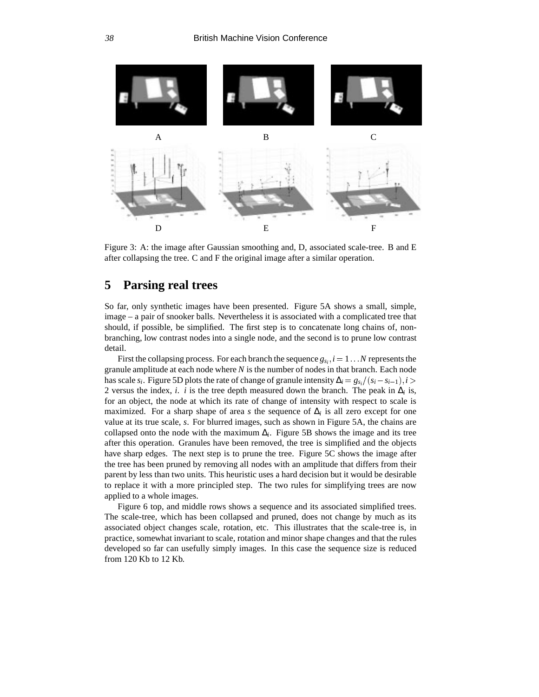

Figure 3: A: the image after Gaussian smoothing and, D, associated scale-tree. B and E after collapsing the tree. C and F the original image after a similar operation.

# **5 Parsing real trees**

So far, only synthetic images have been presented. Figure 5A shows a small, simple, image – a pair of snooker balls. Nevertheless it is associated with a complicated tree that should, if possible, be simplified. The first step is to concatenate long chains of, nonbranching, low contrast nodes into a single node, and the second is to prune low contrast detail.

First the collapsing process. For each branch the sequence  $g_s$ ,  $i = 1...N$  represents the granule amplitude at each node where *N* is the number of nodes in that branch. Each node has scale  $s_i$ . Figure 5D plots the rate of change of granule intensity  $\Delta_i = g_{s_i}/(s_i - s_{i-1}), i >$ 2 versus the index, *i*. *i* is the tree depth measured down the branch. The peak in  $\Delta_i$  is, for an object, the node at which its rate of change of intensity with respect to scale is maximized. For a sharp shape of area *s* the sequence of  $\Delta_i$  is all zero except for one value at its true scale, *s*. For blurred images, such as shown in Figure 5A, the chains are collapsed onto the node with the maximum  $\Delta_i$ . Figure 5B shows the image and its tree after this operation. Granules have been removed, the tree is simplified and the objects have sharp edges. The next step is to prune the tree. Figure 5C shows the image after the tree has been pruned by removing all nodes with an amplitude that differs from their parent by less than two units. This heuristic uses a hard decision but it would be desirable to replace it with a more principled step. The two rules for simplifying trees are now applied to a whole images.

Figure 6 top, and middle rows shows a sequence and its associated simplified trees. The scale-tree, which has been collapsed and pruned, does not change by much as its associated object changes scale, rotation, etc. This illustrates that the scale-tree is, in practice, somewhat invariant to scale, rotation and minor shape changes and that the rules developed so far can usefully simply images. In this case the sequence size is reduced from 120 Kb to 12 Kb.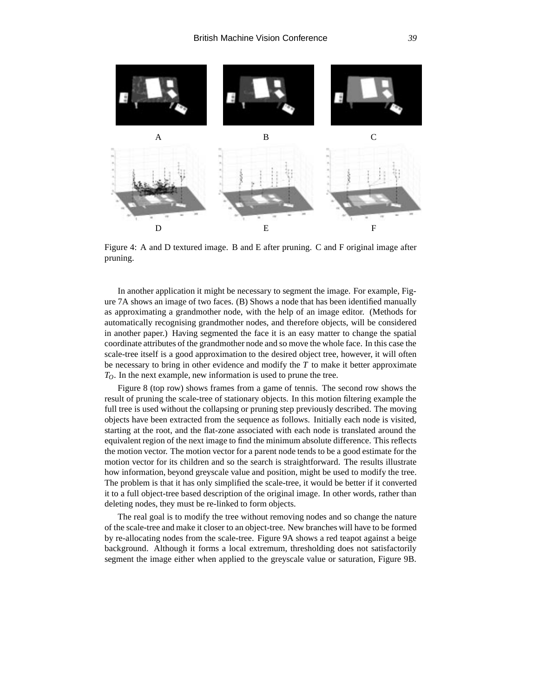

Figure 4: A and D textured image. B and E after pruning. C and F original image after pruning.

In another application it might be necessary to segment the image. For example, Figure 7A shows an image of two faces. (B) Shows a node that has been identified manually as approximating a grandmother node, with the help of an image editor. (Methods for automatically recognising grandmother nodes, and therefore objects, will be considered in another paper.) Having segmented the face it is an easy matter to change the spatial coordinate attributes of the grandmother node and so move the whole face. In this case the scale-tree itself is a good approximation to the desired object tree, however, it will often be necessary to bring in other evidence and modify the *T* to make it better approximate *TO*. In the next example, new information is used to prune the tree.

Figure 8 (top row) shows frames from a game of tennis. The second row shows the result of pruning the scale-tree of stationary objects. In this motion filtering example the full tree is used without the collapsing or pruning step previously described. The moving objects have been extracted from the sequence as follows. Initially each node is visited, starting at the root, and the flat-zone associated with each node is translated around the equivalent region of the next image to find the minimum absolute difference. This reflects the motion vector. The motion vector for a parent node tends to be a good estimate for the motion vector for its children and so the search is straightforward. The results illustrate how information, beyond greyscale value and position, might be used to modify the tree. The problem is that it has only simplified the scale-tree, it would be better if it converted it to a full object-tree based description of the original image. In other words, rather than deleting nodes, they must be re-linked to form objects.

The real goal is to modify the tree without removing nodes and so change the nature of the scale-tree and make it closer to an object-tree. New branches will have to be formed by re-allocating nodes from the scale-tree. Figure 9A shows a red teapot against a beige background. Although it forms a local extremum, thresholding does not satisfactorily segment the image either when applied to the greyscale value or saturation, Figure 9B.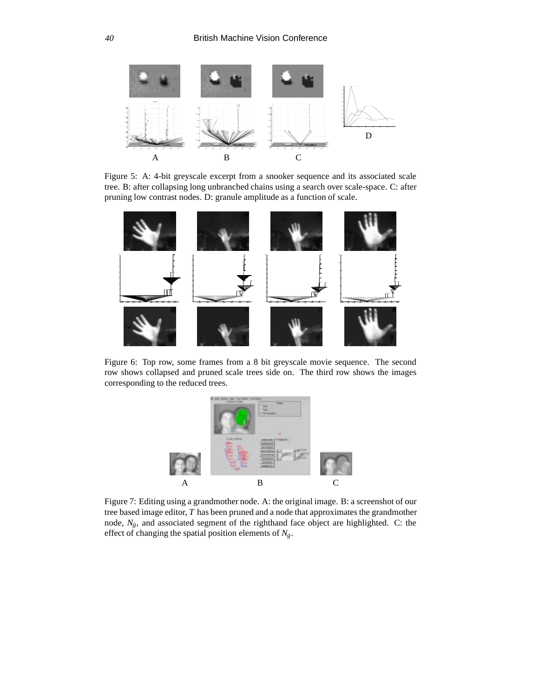

Figure 5: A: 4-bit greyscale excerpt from a snooker sequence and its associated scale tree. B: after collapsing long unbranched chains using a search over scale-space. C: after pruning low contrast nodes. D: granule amplitude as a function of scale.



Figure 6: Top row, some frames from a 8 bit greyscale movie sequence. The second row shows collapsed and pruned scale trees side on. The third row shows the images corresponding to the reduced trees.



Figure 7: Editing using a grandmother node. A: the original image. B: a screenshot of our tree based image editor, *T* has been pruned and a node that approximates the grandmother node, *Ng*, and associated segment of the righthand face object are highlighted. C: the effect of changing the spatial position elements of *Ng*.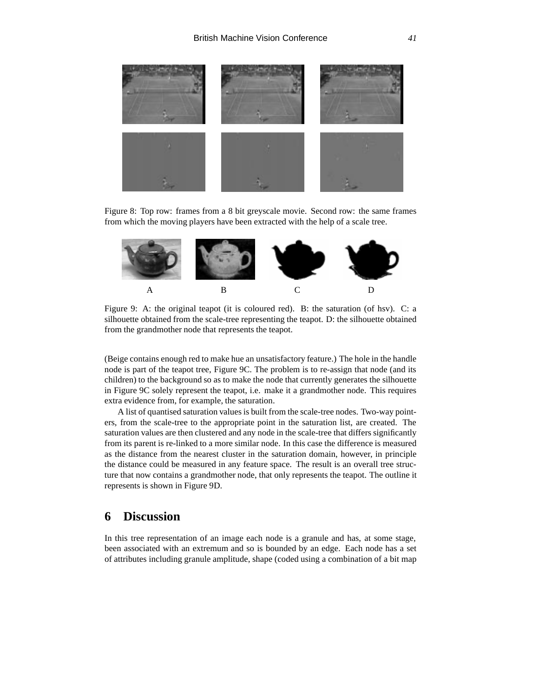

Figure 8: Top row: frames from a 8 bit greyscale movie. Second row: the same frames from which the moving players have been extracted with the help of a scale tree.



Figure 9: A: the original teapot (it is coloured red). B: the saturation (of hsv). C: a silhouette obtained from the scale-tree representing the teapot. D: the silhouette obtained from the grandmother node that represents the teapot.

(Beige contains enough red to make hue an unsatisfactory feature.) The hole in the handle node is part of the teapot tree, Figure 9C. The problem is to re-assign that node (and its children) to the background so as to make the node that currently generates the silhouette in Figure 9C solely represent the teapot, i.e. make it a grandmother node. This requires extra evidence from, for example, the saturation.

A list of quantised saturation values is built from the scale-tree nodes. Two-way pointers, from the scale-tree to the appropriate point in the saturation list, are created. The saturation values are then clustered and any node in the scale-tree that differs significantly from its parent is re-linked to a more similar node. In this case the difference is measured as the distance from the nearest cluster in the saturation domain, however, in principle the distance could be measured in any feature space. The result is an overall tree structure that now contains a grandmother node, that only represents the teapot. The outline it represents is shown in Figure 9D.

### **6 Discussion**

In this tree representation of an image each node is a granule and has, at some stage, been associated with an extremum and so is bounded by an edge. Each node has a set of attributes including granule amplitude, shape (coded using a combination of a bit map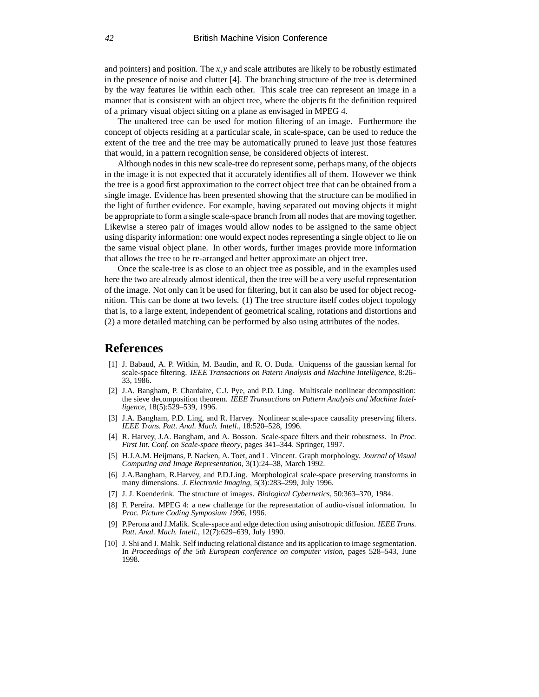and pointers) and position. The *x*; *y* and scale attributes are likely to be robustly estimated in the presence of noise and clutter [4]. The branching structure of the tree is determined by the way features lie within each other. This scale tree can represent an image in a manner that is consistent with an object tree, where the objects fit the definition required of a primary visual object sitting on a plane as envisaged in MPEG 4.

The unaltered tree can be used for motion filtering of an image. Furthermore the concept of objects residing at a particular scale, in scale-space, can be used to reduce the extent of the tree and the tree may be automatically pruned to leave just those features that would, in a pattern recognition sense, be considered objects of interest.

Although nodes in this new scale-tree do represent some, perhaps many, of the objects in the image it is not expected that it accurately identifies all of them. However we think the tree is a good first approximation to the correct object tree that can be obtained from a single image. Evidence has been presented showing that the structure can be modified in the light of further evidence. For example, having separated out moving objects it might be appropriate to form a single scale-space branch from all nodes that are moving together. Likewise a stereo pair of images would allow nodes to be assigned to the same object using disparity information: one would expect nodes representing a single object to lie on the same visual object plane. In other words, further images provide more information that allows the tree to be re-arranged and better approximate an object tree.

Once the scale-tree is as close to an object tree as possible, and in the examples used here the two are already almost identical, then the tree will be a very useful representation of the image. Not only can it be used for filtering, but it can also be used for object recognition. This can be done at two levels. (1) The tree structure itself codes object topology that is, to a large extent, independent of geometrical scaling, rotations and distortions and (2) a more detailed matching can be performed by also using attributes of the nodes.

#### **References**

- [1] J. Babaud, A. P. Witkin, M. Baudin, and R. O. Duda. Uniquenss of the gaussian kernal for scale-space filtering. *IEEE Transactions on Patern Analysis and Machine Intelligence*, 8:26– 33, 1986.
- [2] J.A. Bangham, P. Chardaire, C.J. Pye, and P.D. Ling. Multiscale nonlinear decomposition: the sieve decomposition theorem. *IEEE Transactions on Pattern Analysis and Machine Intelligence*, 18(5):529–539, 1996.
- [3] J.A. Bangham, P.D. Ling, and R. Harvey. Nonlinear scale-space causality preserving filters. *IEEE Trans. Patt. Anal. Mach. Intell.*, 18:520–528, 1996.
- [4] R. Harvey, J.A. Bangham, and A. Bosson. Scale-space filters and their robustness. In *Proc. First Int. Conf. on Scale-space theory*, pages 341–344. Springer, 1997.
- [5] H.J.A.M. Heijmans, P. Nacken, A. Toet, and L. Vincent. Graph morphology. *Journal of Visual Computing and Image Representation*, 3(1):24–38, March 1992.
- [6] J.A.Bangham, R.Harvey, and P.D.Ling. Morphological scale-space preserving transforms in many dimensions. *J. Electronic Imaging*, 5(3):283–299, July 1996.
- [7] J. J. Koenderink. The structure of images. *Biological Cybernetics*, 50:363–370, 1984.
- [8] F. Pereira. MPEG 4: a new challenge for the representation of audio-visual information. In *Proc. Picture Coding Symposium 1996*, 1996.
- [9] P.Perona and J.Malik. Scale-space and edge detection using anisotropic diffusion. *IEEE Trans.* Patt. Anal. Mach. Intell., 12(7):629-639, July 1990.
- [10] J. Shi and J. Malik. Self inducing relational distance and its application to image segmentation. In *Proceedings of the 5th European conference on computer vision*, pages 528–543, June 1998.